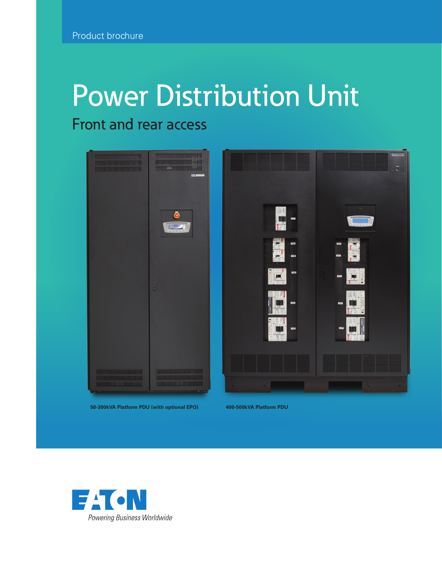# Power Distribution Unit

### Front and rear access



**50-300kVA Platform PDU (with optional EPO) 400-500kVA Platform PDU**

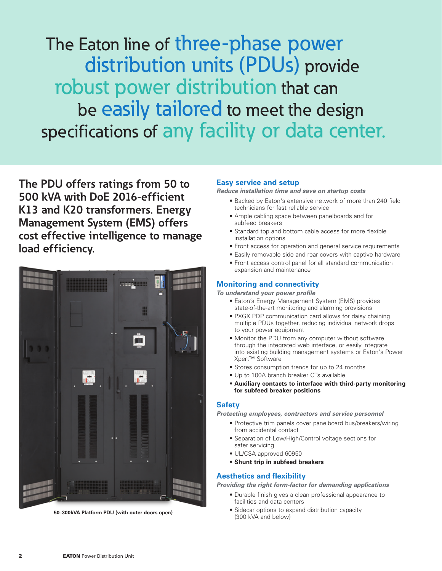The Eaton line of three-phase power distribution units (PDUs) provide robust power distribution that can be easily tailored to meet the design specifications of any facility or data center.

**The PDU offers ratings from 50 to 500 kVA with DoE 2016-efficient K13 and K20 transformers. Energy Management System (EMS) offers cost effective intelligence to manage load efficiency.**



(300 kVA and below) **50–300kVA Platform PDU (with outer doors open)**

#### **Easy service and setup**

*Reduce installation time and save on startup costs*

- Backed by Eaton's extensive network of more than 240 field technicians for fast reliable service
- Ample cabling space between panelboards and for subfeed breakers
- Standard top and bottom cable access for more flexible installation options
- Front access for operation and general service requirements
- Easily removable side and rear covers with captive hardware
- Front access control panel for all standard communication expansion and maintenance

#### **Monitoring and connectivity**

*To understand your power profile*

- Eaton's Energy Management System (EMS) provides state-of-the-art monitoring and alarming provisions
- PXGX PDP communication card allows for daisy chaining multiple PDUs together, reducing individual network drops to your power equipment
- Monitor the PDU from any computer without software through the integrated web interface, or easily integrate into existing building management systems or Eaton's Power Xpert™ Software
- Stores consumption trends for up to 24 months
- Up to 100A branch breaker CTs available
- **Auxiliary contacts to interface with third-party monitoring for subfeed breaker positions**

#### **Safety**

*Protecting employees, contractors and service personnel* 

- Protective trim panels cover panelboard bus/breakers/wiring from accidental contact
- Separation of Low/High/Control voltage sections for safer servicing
- UL/CSA approved 60950
- **Shunt trip in subfeed breakers**

#### **Aesthetics and flexibility**

*Providing the right form-factor for demanding applications*

- Durable finish gives a clean professional appearance to facilities and data centers
- Sidecar options to expand distribution capacity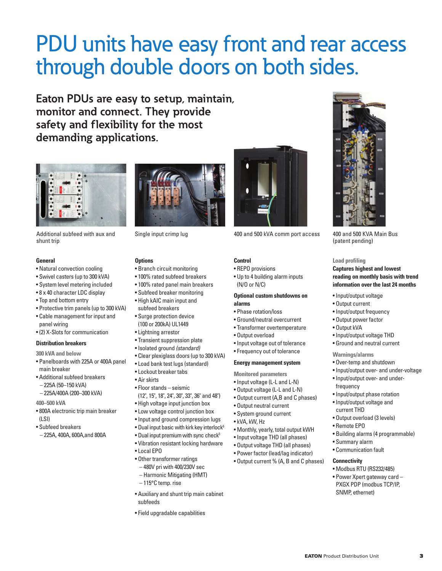## PDU units have easy front and rear access through double doors on both sides.

**Eaton PDUs are easy to setup, maintain, monitor and connect. They provide safety and flexibility for the most demanding applications.**



Additional subfeed with aux and shunt trip

#### **General**

- Natural convection cooling
- Swivel casters (up to 300 kVA)
- System level metering included
- 8 x 40 character LDC display
- Top and bottom entry
- Protective trim panels (up to 300 kVA)
- Cable management for input and panel wiring
- (2) X-Slots for communication

#### **Distribution breakers**

- **300 kVA and below**
- Panelboards with 225A or 400A panel main breaker
- Additional subfeed breakers
- 225A (50–150 kVA)
- 225A/400A (200–300 kVA)
- **400–500 kVA**
- 800A electronic trip main breaker (LSI)
- Subfeed breakers
- 225A, 400A, 600A,and 800A



#### **Options**

- Branch circuit monitoring
- 100% rated subfeed breakers
- 100% rated panel main breakers
- Subfeed breaker monitoring
- High kAIC main input and subfeed breakers
- Surge protection device (100 or 200kA) UL1449
- Lightning arrestor
- Transient suppression plate
- Isolated ground (standard)
- Clear plexiglass doors (up to 300 kVA)
- Load bank test lugs (standard)
- Lockout breaker tabs
- Air skirts
- Floor stands seismic
- (12", 15", 18", 24", 30", 33", 36" and 48") • High voltage input junction box
- Low voltage control junction box
- Input and ground compression lugs
- Dual input basic with kirk key interlock<sup>5</sup>
- Dual input premium with sync check<sup>5</sup>
- Vibration resistant locking hardware • Local EPO
- Other transformer ratings
- 480V pri with 400/230V sec
- Harmonic Mitigating (HMT)
- 115°C temp. rise
- Auxiliary and shunt trip main cabinet subfeeds
- Field upgradable capabilities



Single input crimp lug 400 and 500 kVA comm port access 400 and 500 KVA Main Bus

#### **Control**

• REPO provisions

• Up to 4 building alarm inputs (N/O or N/C)

#### **Optional custom shutdowns on alarms**

- Phase rotation/loss
- Ground/neutral overcurrent
- Transformer overtemperature
- Output overload
- Input voltage out of tolerance
- Frequency out of tolerance

#### **Energy management system**

**Monitored parameters**

- Input voltage (L-L and L-N)
- Output voltage (L-L and L-N)
- Output current (A,B and C phases)
- Output neutral current
- System ground current
- kVA, kW, Hz
- Monthly, yearly, total output kWH
- Input voltage THD (all phases)
- Output voltage THD (all phases)
- Power factor (lead/lag indicator)
- Output current % (A, B and C phases)



(patent pending)

#### **Load profiling**

**Captures highest and lowest reading on monthly basis with trend information over the last 24 months** 

- Input/output voltage
- Output current
- Input/output frequency
- Output power factor
- Output kVA
- Input/output voltage THD
- Ground and neutral current
- **Warnings/alarms**
- Over-temp and shutdown
- Input/output over- and under-voltage
- Input/output over- and underfrequency
- Input/output phase rotation
- Input/output voltage and current THD
- Output overload (3 levels)
- Remote EPO
- Building alarms (4 programmable)

• Power Xpert gateway card – PXGX PDP (modbus TCP/IP,

**EATON** Product Distribution Unit 3

- Summary alarm
- Communication fault

SNMP, ethernet)

#### **Connectivity**  • Modbus RTU (RS232/485)